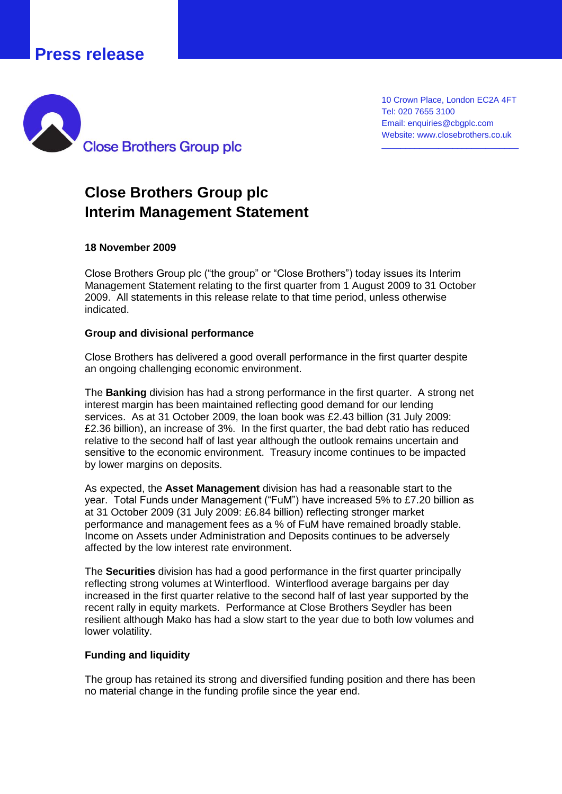## **Press release**



10 Crown Place, London EC2A 4FT Tel: 020 7655 3100 Email: enquiries@cbgplc.com Website: www.closebrothers.co.uk

\_\_\_\_\_\_\_\_\_\_\_\_\_\_\_\_\_\_\_\_\_\_\_\_\_\_\_\_\_

# **Close Brothers Group plc Interim Management Statement**

#### **18 November 2009**

Close Brothers Group plc ("the group" or "Close Brothers") today issues its Interim Management Statement relating to the first quarter from 1 August 2009 to 31 October 2009. All statements in this release relate to that time period, unless otherwise indicated.

#### **Group and divisional performance**

Close Brothers has delivered a good overall performance in the first quarter despite an ongoing challenging economic environment.

The **Banking** division has had a strong performance in the first quarter. A strong net interest margin has been maintained reflecting good demand for our lending services. As at 31 October 2009, the loan book was £2.43 billion (31 July 2009: £2.36 billion), an increase of 3%. In the first quarter, the bad debt ratio has reduced relative to the second half of last year although the outlook remains uncertain and sensitive to the economic environment. Treasury income continues to be impacted by lower margins on deposits.

As expected, the **Asset Management** division has had a reasonable start to the year. Total Funds under Management ("FuM") have increased 5% to £7.20 billion as at 31 October 2009 (31 July 2009: £6.84 billion) reflecting stronger market performance and management fees as a % of FuM have remained broadly stable. Income on Assets under Administration and Deposits continues to be adversely affected by the low interest rate environment.

The **Securities** division has had a good performance in the first quarter principally reflecting strong volumes at Winterflood. Winterflood average bargains per day increased in the first quarter relative to the second half of last year supported by the recent rally in equity markets. Performance at Close Brothers Seydler has been resilient although Mako has had a slow start to the year due to both low volumes and lower volatility.

#### **Funding and liquidity**

The group has retained its strong and diversified funding position and there has been no material change in the funding profile since the year end.